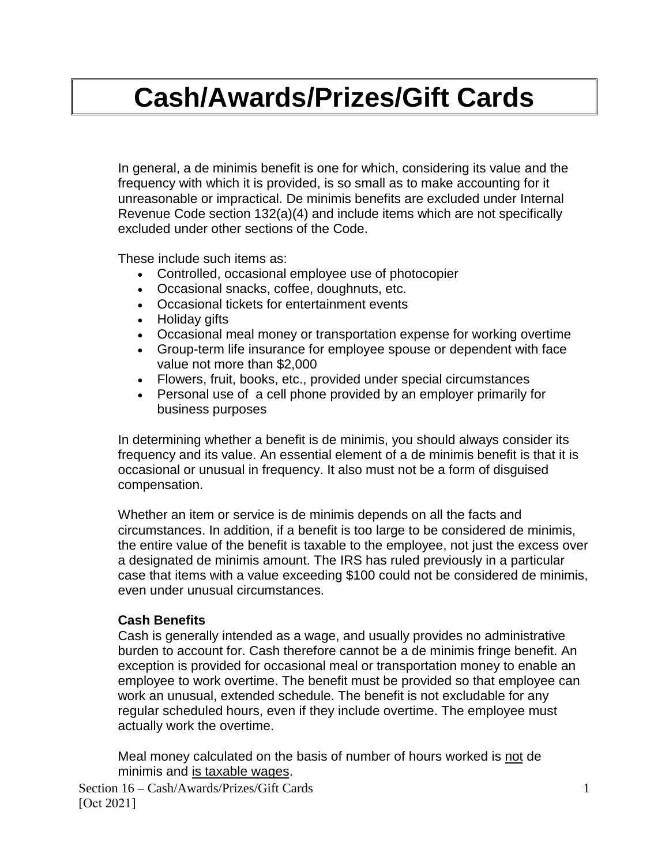# **Cash/Awards/Prizes/Gift Cards**

In general, a de minimis benefit is one for which, considering its value and the frequency with which it is provided, is so small as to make accounting for it unreasonable or impractical. De minimis benefits are excluded under Internal Revenue Code section 132(a)(4) and include items which are not specifically excluded under other sections of the Code.

These include such items as:

- Controlled, occasional employee use of photocopier
- Occasional snacks, coffee, doughnuts, etc.
- Occasional tickets for entertainment events
- Holiday gifts
- Occasional meal money or transportation expense for working overtime
- Group-term life insurance for employee spouse or dependent with face value not more than \$2,000
- Flowers, fruit, books, etc., provided under special circumstances
- Personal use of a cell phone provided by an employer primarily for business purposes

In determining whether a benefit is de minimis, you should always consider its frequency and its value. An essential element of a de minimis benefit is that it is occasional or unusual in frequency. It also must not be a form of disguised compensation.

Whether an item or service is de minimis depends on all the facts and circumstances. In addition, if a benefit is too large to be considered de minimis, the entire value of the benefit is taxable to the employee, not just the excess over a designated de minimis amount. The IRS has ruled previously in a particular case that items with a value exceeding \$100 could not be considered de minimis, even under unusual circumstances.

## **Cash Benefits**

Cash is generally intended as a wage, and usually provides no administrative burden to account for. Cash therefore cannot be a de minimis fringe benefit. An exception is provided for occasional meal or transportation money to enable an employee to work overtime. The benefit must be provided so that employee can work an unusual, extended schedule. The benefit is not excludable for any regular scheduled hours, even if they include overtime. The employee must actually work the overtime.

Meal money calculated on the basis of number of hours worked is not de minimis and is taxable wages.

Section 16 – Cash/Awards/Prizes/Gift Cards 1 [Oct 2021]